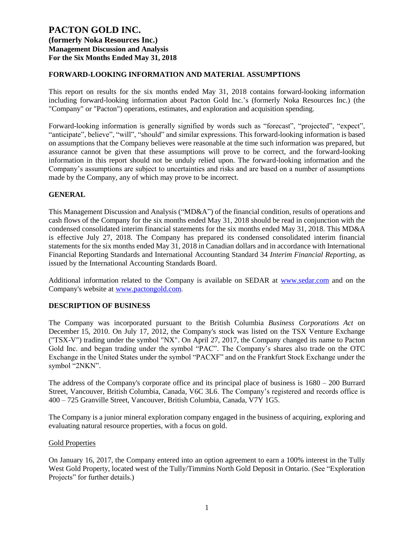## **FORWARD-LOOKING INFORMATION AND MATERIAL ASSUMPTIONS**

This report on results for the six months ended May 31, 2018 contains forward-looking information including forward-looking information about Pacton Gold Inc.'s (formerly Noka Resources Inc.) (the "Company" or "Pacton") operations, estimates, and exploration and acquisition spending.

Forward-looking information is generally signified by words such as "forecast", "projected", "expect", "anticipate", believe", "will", "should" and similar expressions. This forward-looking information is based on assumptions that the Company believes were reasonable at the time such information was prepared, but assurance cannot be given that these assumptions will prove to be correct, and the forward-looking information in this report should not be unduly relied upon. The forward-looking information and the Company's assumptions are subject to uncertainties and risks and are based on a number of assumptions made by the Company, any of which may prove to be incorrect.

### **GENERAL**

This Management Discussion and Analysis ("MD&A") of the financial condition, results of operations and cash flows of the Company for the six months ended May 31, 2018 should be read in conjunction with the condensed consolidated interim financial statements for the six months ended May 31, 2018. This MD&A is effective July 27, 2018. The Company has prepared its condensed consolidated interim financial statements for the six months ended May 31, 2018 in Canadian dollars and in accordance with International Financial Reporting Standards and International Accounting Standard 34 *Interim Financial Reporting*, as issued by the International Accounting Standards Board.

Additional information related to the Company is available on SEDAR at [www.sedar.com](http://www.sedar.com/) and on the Company's website at [www.pactongold.com](http://www.pactongold.com/).

### **DESCRIPTION OF BUSINESS**

The Company was incorporated pursuant to the British Columbia *Business Corporations Act* on December 15, 2010. On July 17, 2012, the Company's stock was listed on the TSX Venture Exchange ("TSX-V") trading under the symbol "NX". On April 27, 2017, the Company changed its name to Pacton Gold Inc. and began trading under the symbol "PAC". The Company's shares also trade on the OTC Exchange in the United States under the symbol "PACXF" and on the Frankfurt Stock Exchange under the symbol "2NKN".

The address of the Company's corporate office and its principal place of business is 1680 – 200 Burrard Street, Vancouver, British Columbia, Canada, V6C 3L6. The Company's registered and records office is 400 – 725 Granville Street, Vancouver, British Columbia, Canada, V7Y 1G5.

The Company is a junior mineral exploration company engaged in the business of acquiring, exploring and evaluating natural resource properties, with a focus on gold.

#### Gold Properties

On January 16, 2017, the Company entered into an option agreement to earn a 100% interest in the Tully West Gold Property, located west of the Tully/Timmins North Gold Deposit in Ontario. (See "Exploration Projects" for further details.)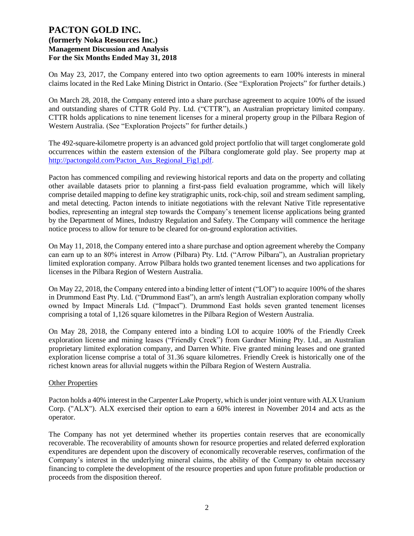On May 23, 2017, the Company entered into two option agreements to earn 100% interests in mineral claims located in the Red Lake Mining District in Ontario. (See "Exploration Projects" for further details.)

On March 28, 2018, the Company entered into a share purchase agreement to acquire 100% of the issued and outstanding shares of CTTR Gold Pty. Ltd. ("CTTR"), an Australian proprietary limited company. CTTR holds applications to nine tenement licenses for a mineral property group in the Pilbara Region of Western Australia. (See "Exploration Projects" for further details.)

The 492-square-kilometre property is an advanced gold project portfolio that will target conglomerate gold occurrences within the eastern extension of the Pilbara conglomerate gold play. See property map at [http://pactongold.com/Pacton\\_Aus\\_Regional\\_Fig1.pdf.](http://pactongold.com/Pacton_Aus_Regional_Fig1.pdf)

Pacton has commenced compiling and reviewing historical reports and data on the property and collating other available datasets prior to planning a first-pass field evaluation programme, which will likely comprise detailed mapping to define key stratigraphic units, rock-chip, soil and stream sediment sampling, and metal detecting. Pacton intends to initiate negotiations with the relevant Native Title representative bodies, representing an integral step towards the Company's tenement license applications being granted by the Department of Mines, Industry Regulation and Safety. The Company will commence the heritage notice process to allow for tenure to be cleared for on-ground exploration activities.

On May 11, 2018, the Company entered into a share purchase and option agreement whereby the Company can earn up to an 80% interest in Arrow (Pilbara) Pty. Ltd. ("Arrow Pilbara"), an Australian proprietary limited exploration company. Arrow Pilbara holds two granted tenement licenses and two applications for licenses in the Pilbara Region of Western Australia.

On May 22, 2018, the Company entered into a binding letter of intent ("LOI") to acquire 100% of the shares in Drummond East Pty. Ltd. ("Drummond East"), an arm's length Australian exploration company wholly owned by Impact Minerals Ltd. ("Impact"). Drummond East holds seven granted tenement licenses comprising a total of 1,126 square kilometres in the Pilbara Region of Western Australia.

On May 28, 2018, the Company entered into a binding LOI to acquire 100% of the Friendly Creek exploration license and mining leases ("Friendly Creek") from Gardner Mining Pty. Ltd., an Australian proprietary limited exploration company, and Darren White. Five granted mining leases and one granted exploration license comprise a total of 31.36 square kilometres. Friendly Creek is historically one of the richest known areas for alluvial nuggets within the Pilbara Region of Western Australia.

### Other Properties

Pacton holds a 40% interest in the Carpenter Lake Property, which is under joint venture with ALX Uranium Corp. ("ALX"). ALX exercised their option to earn a 60% interest in November 2014 and acts as the operator.

The Company has not yet determined whether its properties contain reserves that are economically recoverable. The recoverability of amounts shown for resource properties and related deferred exploration expenditures are dependent upon the discovery of economically recoverable reserves, confirmation of the Company's interest in the underlying mineral claims, the ability of the Company to obtain necessary financing to complete the development of the resource properties and upon future profitable production or proceeds from the disposition thereof.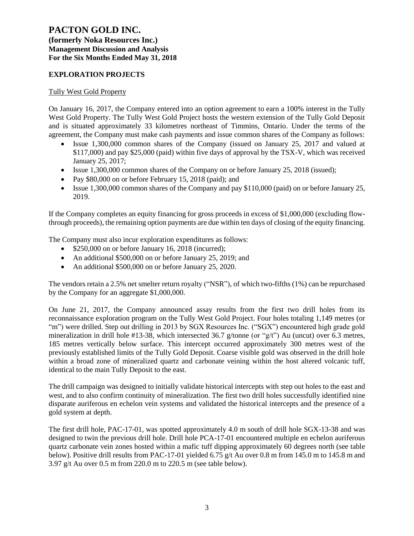**(formerly Noka Resources Inc.) Management Discussion and Analysis For the Six Months Ended May 31, 2018**

## **EXPLORATION PROJECTS**

### Tully West Gold Property

On January 16, 2017, the Company entered into an option agreement to earn a 100% interest in the Tully West Gold Property. The Tully West Gold Project hosts the western extension of the Tully Gold Deposit and is situated approximately 33 kilometres northeast of Timmins, Ontario. Under the terms of the agreement, the Company must make cash payments and issue common shares of the Company as follows:

- Issue 1,300,000 common shares of the Company (issued on January 25, 2017 and valued at \$117,000) and pay \$25,000 (paid) within five days of approval by the TSX-V, which was received January 25, 2017;
- Issue 1,300,000 common shares of the Company on or before January 25, 2018 (issued);
- Pay \$80,000 on or before February 15, 2018 (paid); and
- Issue 1,300,000 common shares of the Company and pay \$110,000 (paid) on or before January 25, 2019.

If the Company completes an equity financing for gross proceeds in excess of \$1,000,000 (excluding flowthrough proceeds), the remaining option payments are due within ten days of closing of the equity financing.

The Company must also incur exploration expenditures as follows:

- \$250,000 on or before January 16, 2018 (incurred);
- An additional \$500,000 on or before January 25, 2019; and
- An additional \$500,000 on or before January 25, 2020.

The vendors retain a 2.5% net smelter return royalty ("NSR"), of which two-fifths (1%) can be repurchased by the Company for an aggregate \$1,000,000.

On June 21, 2017, the Company announced assay results from the first two drill holes from its reconnaissance exploration program on the Tully West Gold Project. Four holes totaling 1,149 metres (or "m") were drilled. Step out drilling in 2013 by SGX Resources Inc. ("SGX") encountered high grade gold mineralization in drill hole #13-38, which intersected 36.7 g/tonne (or "g/t") Au (uncut) over 6.3 metres, 185 metres vertically below surface. This intercept occurred approximately 300 metres west of the previously established limits of the Tully Gold Deposit. Coarse visible gold was observed in the drill hole within a broad zone of mineralized quartz and carbonate veining within the host altered volcanic tuff, identical to the main Tully Deposit to the east.

The drill campaign was designed to initially validate historical intercepts with step out holes to the east and west, and to also confirm continuity of mineralization. The first two drill holes successfully identified nine disparate auriferous en echelon vein systems and validated the historical intercepts and the presence of a gold system at depth.

The first drill hole, PAC-17-01, was spotted approximately 4.0 m south of drill hole SGX-13-38 and was designed to twin the previous drill hole. Drill hole PCA-17-01 encountered multiple en echelon auriferous quartz carbonate vein zones hosted within a mafic tuff dipping approximately 60 degrees north (see table below). Positive drill results from PAC-17-01 yielded 6.75 g/t Au over 0.8 m from 145.0 m to 145.8 m and 3.97 g/t Au over 0.5 m from 220.0 m to 220.5 m (see table below).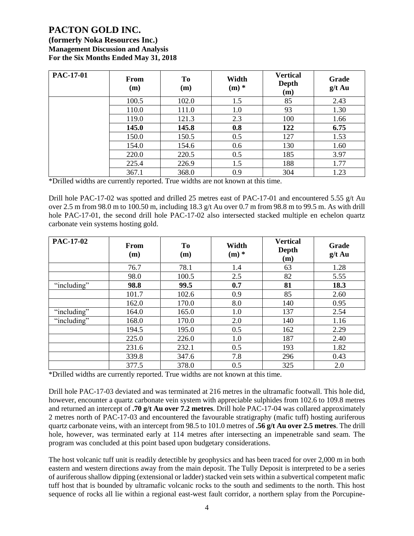**(formerly Noka Resources Inc.) Management Discussion and Analysis For the Six Months Ended May 31, 2018**

| <b>PAC-17-01</b> | <b>From</b><br>(m) | To<br>(m) | Width<br>$(m)$ * | <b>Vertical</b><br>Depth<br>(m) | Grade<br>$g/t$ Au |
|------------------|--------------------|-----------|------------------|---------------------------------|-------------------|
|                  | 100.5              | 102.0     | 1.5              | 85                              | 2.43              |
|                  | 110.0              | 111.0     | 1.0              | 93                              | 1.30              |
|                  | 119.0              | 121.3     | 2.3              | 100                             | 1.66              |
|                  | 145.0              | 145.8     | 0.8              | 122                             | 6.75              |
|                  | 150.0              | 150.5     | 0.5              | 127                             | 1.53              |
|                  | 154.0              | 154.6     | 0.6              | 130                             | 1.60              |
|                  | 220.0              | 220.5     | 0.5              | 185                             | 3.97              |
|                  | 225.4              | 226.9     | 1.5              | 188                             | 1.77              |
|                  | 367.1              | 368.0     | 0.9              | 304                             | 1.23              |

\*Drilled widths are currently reported. True widths are not known at this time.

Drill hole PAC-17-02 was spotted and drilled 25 metres east of PAC-17-01 and encountered 5.55 g/t Au over 2.5 m from 98.0 m to 100.50 m, including 18.3 g/t Au over 0.7 m from 98.8 m to 99.5 m. As with drill hole PAC-17-01, the second drill hole PAC-17-02 also intersected stacked multiple en echelon quartz carbonate vein systems hosting gold.

| <b>PAC-17-02</b> | From<br>(m) | <b>To</b><br>(m) | Width<br>$(m)$ * | <b>Vertical</b><br>Depth<br>(m) | Grade<br>$g/t$ Au |
|------------------|-------------|------------------|------------------|---------------------------------|-------------------|
|                  | 76.7        | 78.1             | 1.4              | 63                              | 1.28              |
|                  | 98.0        | 100.5            | 2.5              | 82                              | 5.55              |
| "including"      | 98.8        | 99.5             | 0.7              | 81                              | 18.3              |
|                  | 101.7       | 102.6            | 0.9              | 85                              | 2.60              |
|                  | 162.0       | 170.0            | 8.0              | 140                             | 0.95              |
| "including"      | 164.0       | 165.0            | 1.0              | 137                             | 2.54              |
| "including"      | 168.0       | 170.0            | 2.0              | 140                             | 1.16              |
|                  | 194.5       | 195.0            | 0.5              | 162                             | 2.29              |
|                  | 225.0       | 226.0            | 1.0              | 187                             | 2.40              |
|                  | 231.6       | 232.1            | 0.5              | 193                             | 1.82              |
|                  | 339.8       | 347.6            | 7.8              | 296                             | 0.43              |
|                  | 377.5       | 378.0            | 0.5              | 325                             | 2.0               |

\*Drilled widths are currently reported. True widths are not known at this time.

Drill hole PAC-17-03 deviated and was terminated at 216 metres in the ultramafic footwall. This hole did, however, encounter a quartz carbonate vein system with appreciable sulphides from 102.6 to 109.8 metres and returned an intercept of **.70 g/t Au over 7.2 metres**. Drill hole PAC-17-04 was collared approximately 2 metres north of PAC-17-03 and encountered the favourable stratigraphy (mafic tuff) hosting auriferous quartz carbonate veins, with an intercept from 98.5 to 101.0 metres of **.56 g/t Au over 2.5 metres**. The drill hole, however, was terminated early at 114 metres after intersecting an impenetrable sand seam. The program was concluded at this point based upon budgetary considerations.

The host volcanic tuff unit is readily detectible by geophysics and has been traced for over 2,000 m in both eastern and western directions away from the main deposit. The Tully Deposit is interpreted to be a series of auriferous shallow dipping (extensional or ladder) stacked vein sets within a subvertical competent mafic tuff host that is bounded by ultramafic volcanic rocks to the south and sediments to the north. This host sequence of rocks all lie within a regional east-west fault corridor, a northern splay from the Porcupine-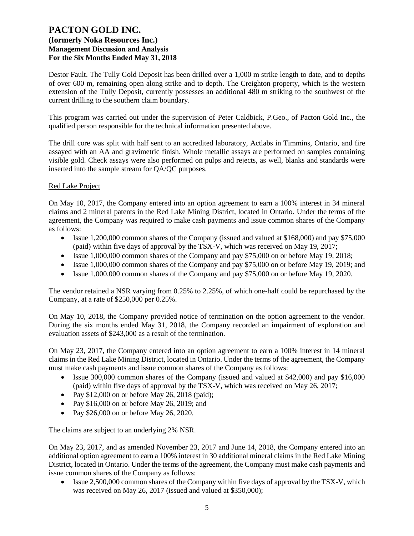Destor Fault. The Tully Gold Deposit has been drilled over a 1,000 m strike length to date, and to depths of over 600 m, remaining open along strike and to depth. The Creighton property, which is the western extension of the Tully Deposit, currently possesses an additional 480 m striking to the southwest of the current drilling to the southern claim boundary.

This program was carried out under the supervision of Peter Caldbick, P.Geo., of Pacton Gold Inc., the qualified person responsible for the technical information presented above.

The drill core was split with half sent to an accredited laboratory, Actlabs in Timmins, Ontario, and fire assayed with an AA and gravimetric finish. Whole metallic assays are performed on samples containing visible gold. Check assays were also performed on pulps and rejects, as well, blanks and standards were inserted into the sample stream for QA/QC purposes.

### Red Lake Project

On May 10, 2017, the Company entered into an option agreement to earn a 100% interest in 34 mineral claims and 2 mineral patents in the Red Lake Mining District, located in Ontario. Under the terms of the agreement, the Company was required to make cash payments and issue common shares of the Company as follows:

- Issue 1,200,000 common shares of the Company (issued and valued at \$168,000) and pay \$75,000 (paid) within five days of approval by the TSX-V, which was received on May 19, 2017;
- Issue 1,000,000 common shares of the Company and pay \$75,000 on or before May 19, 2018;
- Issue 1,000,000 common shares of the Company and pay \$75,000 on or before May 19, 2019; and
- Issue 1,000,000 common shares of the Company and pay \$75,000 on or before May 19, 2020.

The vendor retained a NSR varying from 0.25% to 2.25%, of which one-half could be repurchased by the Company, at a rate of \$250,000 per 0.25%.

On May 10, 2018, the Company provided notice of termination on the option agreement to the vendor. During the six months ended May 31, 2018, the Company recorded an impairment of exploration and evaluation assets of \$243,000 as a result of the termination.

On May 23, 2017, the Company entered into an option agreement to earn a 100% interest in 14 mineral claims in the Red Lake Mining District, located in Ontario. Under the terms of the agreement, the Company must make cash payments and issue common shares of the Company as follows:

- Issue 300,000 common shares of the Company (issued and valued at \$42,000) and pay \$16,000 (paid) within five days of approval by the TSX-V, which was received on May 26, 2017;
- Pay  $$12,000$  on or before May 26, 2018 (paid);
- Pay \$16,000 on or before May 26, 2019; and
- Pay \$26,000 on or before May 26, 2020.

The claims are subject to an underlying 2% NSR.

On May 23, 2017, and as amended November 23, 2017 and June 14, 2018, the Company entered into an additional option agreement to earn a 100% interest in 30 additional mineral claims in the Red Lake Mining District, located in Ontario. Under the terms of the agreement, the Company must make cash payments and issue common shares of the Company as follows:

• Issue 2,500,000 common shares of the Company within five days of approval by the TSX-V, which was received on May 26, 2017 (issued and valued at \$350,000);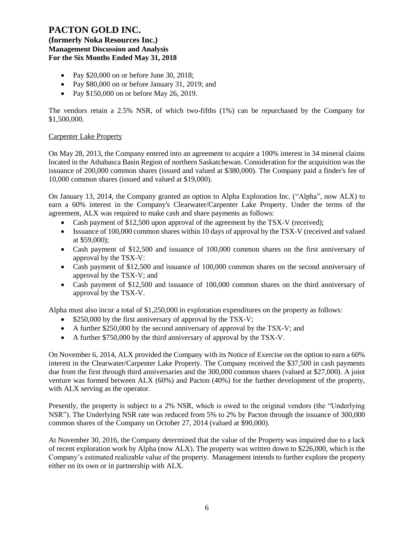**(formerly Noka Resources Inc.) Management Discussion and Analysis For the Six Months Ended May 31, 2018**

- Pay \$20,000 on or before June 30, 2018;
- Pay \$80,000 on or before January 31, 2019; and
- Pay \$150,000 on or before May 26, 2019.

The vendors retain a 2.5% NSR, of which two-fifths (1%) can be repurchased by the Company for \$1,500,000.

### Carpenter Lake Property

On May 28, 2013, the Company entered into an agreement to acquire a 100% interest in 34 mineral claims located in the Athabasca Basin Region of northern Saskatchewan. Consideration for the acquisition was the issuance of 200,000 common shares (issued and valued at \$380,000). The Company paid a finder's fee of 10,000 common shares (issued and valued at \$19,000).

On January 13, 2014, the Company granted an option to Alpha Exploration Inc. ("Alpha", now ALX) to earn a 60% interest in the Company's Clearwater/Carpenter Lake Property. Under the terms of the agreement, ALX was required to make cash and share payments as follows:

- Cash payment of \$12,500 upon approval of the agreement by the TSX-V (received);
- Issuance of 100,000 common shares within 10 days of approval by the TSX-V (received and valued at \$59,000);
- Cash payment of \$12,500 and issuance of 100,000 common shares on the first anniversary of approval by the TSX-V:
- Cash payment of \$12,500 and issuance of 100,000 common shares on the second anniversary of approval by the TSX-V; and
- Cash payment of \$12,500 and issuance of 100,000 common shares on the third anniversary of approval by the TSX-V.

Alpha must also incur a total of \$1,250,000 in exploration expenditures on the property as follows:

- \$250,000 by the first anniversary of approval by the TSX-V;
- A further \$250,000 by the second anniversary of approval by the TSX-V; and
- A further \$750,000 by the third anniversary of approval by the TSX-V.

On November 6, 2014, ALX provided the Company with its Notice of Exercise on the option to earn a 60% interest in the Clearwater/Carpenter Lake Property. The Company received the \$37,500 in cash payments due from the first through third anniversaries and the 300,000 common shares (valued at \$27,000). A joint venture was formed between ALX (60%) and Pacton (40%) for the further development of the property, with ALX serving as the operator.

Presently, the property is subject to a 2% NSR, which is owed to the original vendors (the "Underlying NSR"). The Underlying NSR rate was reduced from 5% to 2% by Pacton through the issuance of 300,000 common shares of the Company on October 27, 2014 (valued at \$90,000).

At November 30, 2016, the Company determined that the value of the Property was impaired due to a lack of recent exploration work by Alpha (now ALX). The property was written down to \$226,000, which is the Company's estimated realizable value of the property. Management intends to further explore the property either on its own or in partnership with ALX.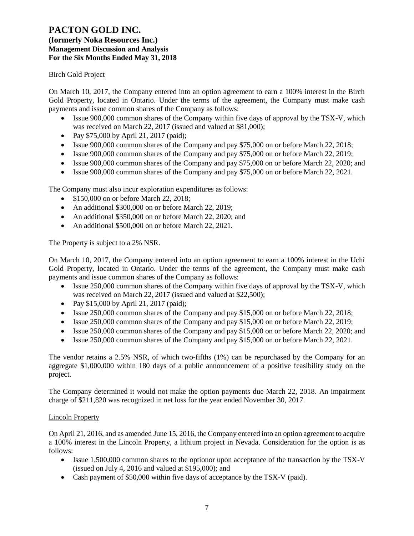# **(formerly Noka Resources Inc.) Management Discussion and Analysis For the Six Months Ended May 31, 2018**

## Birch Gold Project

On March 10, 2017, the Company entered into an option agreement to earn a 100% interest in the Birch Gold Property, located in Ontario. Under the terms of the agreement, the Company must make cash payments and issue common shares of the Company as follows:

- Issue 900,000 common shares of the Company within five days of approval by the TSX-V, which was received on March 22, 2017 (issued and valued at \$81,000);
- Pay \$75,000 by April 21, 2017 (paid);
- Issue 900,000 common shares of the Company and pay \$75,000 on or before March 22, 2018;
- Issue 900,000 common shares of the Company and pay \$75,000 on or before March 22, 2019;
- Issue 900,000 common shares of the Company and pay \$75,000 on or before March 22, 2020; and
- Issue 900,000 common shares of the Company and pay \$75,000 on or before March 22, 2021.

The Company must also incur exploration expenditures as follows:

- \$150,000 on or before March 22, 2018;
- An additional \$300,000 on or before March 22, 2019;
- An additional \$350,000 on or before March 22, 2020; and
- An additional \$500,000 on or before March 22, 2021.

The Property is subject to a 2% NSR.

On March 10, 2017, the Company entered into an option agreement to earn a 100% interest in the Uchi Gold Property, located in Ontario. Under the terms of the agreement, the Company must make cash payments and issue common shares of the Company as follows:

- Issue 250,000 common shares of the Company within five days of approval by the TSX-V, which was received on March 22, 2017 (issued and valued at \$22,500);
- Pay \$15,000 by April 21, 2017 (paid);
- Issue 250,000 common shares of the Company and pay \$15,000 on or before March 22, 2018;
- Issue 250,000 common shares of the Company and pay \$15,000 on or before March 22, 2019;
- Issue 250,000 common shares of the Company and pay \$15,000 on or before March 22, 2020; and
- Issue 250,000 common shares of the Company and pay \$15,000 on or before March 22, 2021.

The vendor retains a 2.5% NSR, of which two-fifths (1%) can be repurchased by the Company for an aggregate \$1,000,000 within 180 days of a public announcement of a positive feasibility study on the project.

The Company determined it would not make the option payments due March 22, 2018. An impairment charge of \$211,820 was recognized in net loss for the year ended November 30, 2017.

### Lincoln Property

On April 21, 2016, and as amended June 15, 2016, the Company entered into an option agreement to acquire a 100% interest in the Lincoln Property, a lithium project in Nevada. Consideration for the option is as follows:

- Issue 1,500,000 common shares to the optionor upon acceptance of the transaction by the TSX-V (issued on July 4, 2016 and valued at \$195,000); and
- Cash payment of \$50,000 within five days of acceptance by the TSX-V (paid).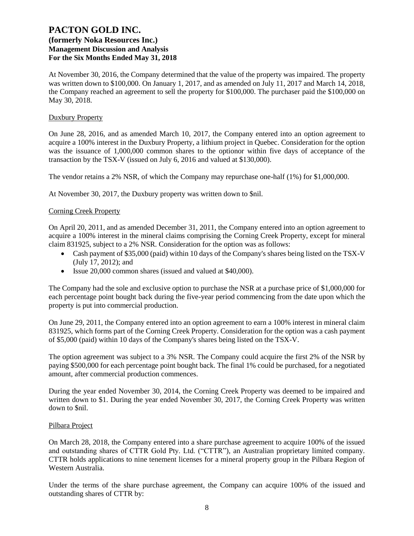At November 30, 2016, the Company determined that the value of the property was impaired. The property was written down to \$100,000. On January 1, 2017, and as amended on July 11, 2017 and March 14, 2018, the Company reached an agreement to sell the property for \$100,000. The purchaser paid the \$100,000 on May 30, 2018.

### Duxbury Property

On June 28, 2016, and as amended March 10, 2017, the Company entered into an option agreement to acquire a 100% interest in the Duxbury Property, a lithium project in Quebec. Consideration for the option was the issuance of 1,000,000 common shares to the optionor within five days of acceptance of the transaction by the TSX-V (issued on July 6, 2016 and valued at \$130,000).

The vendor retains a 2% NSR, of which the Company may repurchase one-half (1%) for \$1,000,000.

At November 30, 2017, the Duxbury property was written down to \$nil.

### Corning Creek Property

On April 20, 2011, and as amended December 31, 2011, the Company entered into an option agreement to acquire a 100% interest in the mineral claims comprising the Corning Creek Property, except for mineral claim 831925, subject to a 2% NSR. Consideration for the option was as follows:

- Cash payment of \$35,000 (paid) within 10 days of the Company's shares being listed on the TSX-V (July 17, 2012); and
- Issue 20,000 common shares (issued and valued at \$40,000).

The Company had the sole and exclusive option to purchase the NSR at a purchase price of \$1,000,000 for each percentage point bought back during the five-year period commencing from the date upon which the property is put into commercial production.

On June 29, 2011, the Company entered into an option agreement to earn a 100% interest in mineral claim 831925, which forms part of the Corning Creek Property. Consideration for the option was a cash payment of \$5,000 (paid) within 10 days of the Company's shares being listed on the TSX-V.

The option agreement was subject to a 3% NSR. The Company could acquire the first 2% of the NSR by paying \$500,000 for each percentage point bought back. The final 1% could be purchased, for a negotiated amount, after commercial production commences.

During the year ended November 30, 2014, the Corning Creek Property was deemed to be impaired and written down to \$1. During the year ended November 30, 2017, the Corning Creek Property was written down to \$nil.

#### Pilbara Project

On March 28, 2018, the Company entered into a share purchase agreement to acquire 100% of the issued and outstanding shares of CTTR Gold Pty. Ltd. ("CTTR"), an Australian proprietary limited company. CTTR holds applications to nine tenement licenses for a mineral property group in the Pilbara Region of Western Australia.

Under the terms of the share purchase agreement, the Company can acquire 100% of the issued and outstanding shares of CTTR by: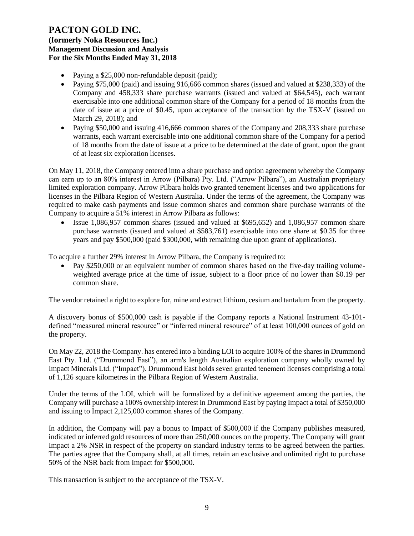**(formerly Noka Resources Inc.) Management Discussion and Analysis For the Six Months Ended May 31, 2018**

- Paying a \$25,000 non-refundable deposit (paid);
- Paying \$75,000 (paid) and issuing 916,666 common shares (issued and valued at \$238,333) of the Company and 458,333 share purchase warrants (issued and valued at \$64,545), each warrant exercisable into one additional common share of the Company for a period of 18 months from the date of issue at a price of \$0.45, upon acceptance of the transaction by the TSX-V (issued on March 29, 2018); and
- Paying \$50,000 and issuing 416,666 common shares of the Company and 208,333 share purchase warrants, each warrant exercisable into one additional common share of the Company for a period of 18 months from the date of issue at a price to be determined at the date of grant, upon the grant of at least six exploration licenses.

On May 11, 2018, the Company entered into a share purchase and option agreement whereby the Company can earn up to an 80% interest in Arrow (Pilbara) Pty. Ltd. ("Arrow Pilbara"), an Australian proprietary limited exploration company. Arrow Pilbara holds two granted tenement licenses and two applications for licenses in the Pilbara Region of Western Australia. Under the terms of the agreement, the Company was required to make cash payments and issue common shares and common share purchase warrants of the Company to acquire a 51% interest in Arrow Pilbara as follows:

• Issue 1,086,957 common shares (issued and valued at \$695,652) and 1,086,957 common share purchase warrants (issued and valued at \$583,761) exercisable into one share at \$0.35 for three years and pay \$500,000 (paid \$300,000, with remaining due upon grant of applications).

To acquire a further 29% interest in Arrow Pilbara, the Company is required to:

• Pay \$250,000 or an equivalent number of common shares based on the five-day trailing volumeweighted average price at the time of issue, subject to a floor price of no lower than \$0.19 per common share.

The vendor retained a right to explore for, mine and extract lithium, cesium and tantalum from the property.

A discovery bonus of \$500,000 cash is payable if the Company reports a National Instrument 43-101 defined "measured mineral resource" or "inferred mineral resource" of at least 100,000 ounces of gold on the property.

On May 22, 2018 the Company. has entered into a binding LOI to acquire 100% of the shares in Drummond East Pty. Ltd. ("Drummond East"), an arm's length Australian exploration company wholly owned by Impact Minerals Ltd. ("Impact"). Drummond East holds seven granted tenement licenses comprising a total of 1,126 square kilometres in the Pilbara Region of Western Australia.

Under the terms of the LOI, which will be formalized by a definitive agreement among the parties, the Company will purchase a 100% ownership interest in Drummond East by paying Impact a total of \$350,000 and issuing to Impact 2,125,000 common shares of the Company.

In addition, the Company will pay a bonus to Impact of \$500,000 if the Company publishes measured, indicated or inferred gold resources of more than 250,000 ounces on the property. The Company will grant Impact a 2% NSR in respect of the property on standard industry terms to be agreed between the parties. The parties agree that the Company shall, at all times, retain an exclusive and unlimited right to purchase 50% of the NSR back from Impact for \$500,000.

This transaction is subject to the acceptance of the TSX-V.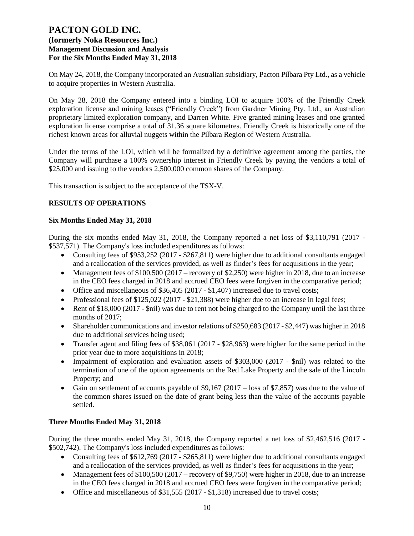On May 24, 2018, the Company incorporated an Australian subsidiary, Pacton Pilbara Pty Ltd., as a vehicle to acquire properties in Western Australia.

On May 28, 2018 the Company entered into a binding LOI to acquire 100% of the Friendly Creek exploration license and mining leases ("Friendly Creek") from Gardner Mining Pty. Ltd., an Australian proprietary limited exploration company, and Darren White. Five granted mining leases and one granted exploration license comprise a total of 31.36 square kilometres. Friendly Creek is historically one of the richest known areas for alluvial nuggets within the Pilbara Region of Western Australia.

Under the terms of the LOI, which will be formalized by a definitive agreement among the parties, the Company will purchase a 100% ownership interest in Friendly Creek by paying the vendors a total of \$25,000 and issuing to the vendors 2,500,000 common shares of the Company.

This transaction is subject to the acceptance of the TSX-V.

# **RESULTS OF OPERATIONS**

### **Six Months Ended May 31, 2018**

During the six months ended May 31, 2018, the Company reported a net loss of \$3,110,791 (2017 - \$537,571). The Company's loss included expenditures as follows:

- Consulting fees of \$953,252 (2017 \$267,811) were higher due to additional consultants engaged and a reallocation of the services provided, as well as finder's fees for acquisitions in the year;
- Management fees of \$100,500 (2017 recovery of \$2,250) were higher in 2018, due to an increase in the CEO fees charged in 2018 and accrued CEO fees were forgiven in the comparative period;
- Office and miscellaneous of \$36,405 (2017 \$1,407) increased due to travel costs;
- Professional fees of  $$125,022$  (2017  $$21,388$ ) were higher due to an increase in legal fees;
- Rent of \$18,000 (2017 \$nil) was due to rent not being charged to the Company until the last three months of 2017;
- Shareholder communications and investor relations of \$250,683 (2017 \$2,447) was higher in 2018 due to additional services being used;
- Transfer agent and filing fees of \$38,061 (2017 \$28,963) were higher for the same period in the prior year due to more acquisitions in 2018;
- Impairment of exploration and evaluation assets of \$303,000 (2017 \$nil) was related to the termination of one of the option agreements on the Red Lake Property and the sale of the Lincoln Property; and
- Gain on settlement of accounts payable of \$9,167 (2017 loss of \$7,857) was due to the value of the common shares issued on the date of grant being less than the value of the accounts payable settled.

# **Three Months Ended May 31, 2018**

During the three months ended May 31, 2018, the Company reported a net loss of \$2,462,516 (2017 - \$502,742). The Company's loss included expenditures as follows:

- Consulting fees of \$612,769 (2017 \$265,811) were higher due to additional consultants engaged and a reallocation of the services provided, as well as finder's fees for acquisitions in the year;
- Management fees of  $$100,500 (2017 recovery of $9,750)$  were higher in 2018, due to an increase in the CEO fees charged in 2018 and accrued CEO fees were forgiven in the comparative period;
- Office and miscellaneous of \$31,555 (2017 \$1,318) increased due to travel costs;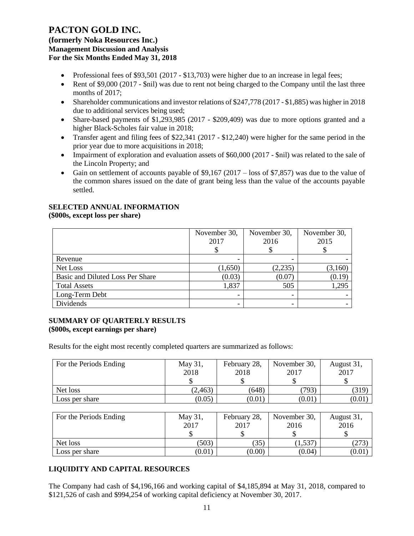**(formerly Noka Resources Inc.) Management Discussion and Analysis For the Six Months Ended May 31, 2018**

- Professional fees of \$93,501 (2017 \$13,703) were higher due to an increase in legal fees;
- Rent of \$9,000 (2017 \$nil) was due to rent not being charged to the Company until the last three months of 2017;
- Shareholder communications and investor relations of \$247,778 (2017 \$1,885) was higher in 2018 due to additional services being used;
- Share-based payments of \$1,293,985 (2017 \$209,409) was due to more options granted and a higher Black-Scholes fair value in 2018;
- Transfer agent and filing fees of \$22,341 (2017 \$12,240) were higher for the same period in the prior year due to more acquisitions in 2018;
- Impairment of exploration and evaluation assets of \$60,000 (2017 \$nil) was related to the sale of the Lincoln Property; and
- Gain on settlement of accounts payable of \$9,167 (2017 loss of \$7,857) was due to the value of the common shares issued on the date of grant being less than the value of the accounts payable settled.

# **SELECTED ANNUAL INFORMATION**

### **(\$000s, except loss per share)**

|                                  | November 30,<br>2017 | November 30,<br>2016 | November 30,<br>2015 |
|----------------------------------|----------------------|----------------------|----------------------|
| Revenue                          |                      |                      |                      |
| Net Loss                         | (1,650)              | (2,235)              | (3,160)              |
| Basic and Diluted Loss Per Share | (0.03)               | (0.07)               | (0.19)               |
| <b>Total Assets</b>              | 1,837                | 505                  | 1,295                |
| Long-Term Debt                   | ۰                    | -                    |                      |
| Dividends                        |                      | -                    |                      |

### **SUMMARY OF QUARTERLY RESULTS (\$000s, except earnings per share)**

Results for the eight most recently completed quarters are summarized as follows:

| For the Periods Ending | May 31,<br>2018 | February 28,<br>2018 | November 30,<br>2017 | August 31,<br>2017 |
|------------------------|-----------------|----------------------|----------------------|--------------------|
|                        |                 |                      |                      |                    |
| Net loss               | (2, 463)        | (648)                | (793)                | (319)              |
| Loss per share         | (0.05)          | (0.01)               | (0.01)               | (0.01)             |
|                        |                 |                      |                      |                    |
| For the Periods Ending | May 31,         | February 28,         | November 30,         | August 31,         |
|                        | 2017            | 2017                 | 2016                 | 2016               |
|                        |                 |                      |                      |                    |
| Net loss               | (503)           | (35)                 | (1, 537)             | (273)              |

# **LIQUIDITY AND CAPITAL RESOURCES**

The Company had cash of \$4,196,166 and working capital of \$4,185,894 at May 31, 2018, compared to \$121,526 of cash and \$994,254 of working capital deficiency at November 30, 2017.

Loss per share  $(0.01)$   $(0.00)$   $(0.04)$   $(0.01)$   $(0.01)$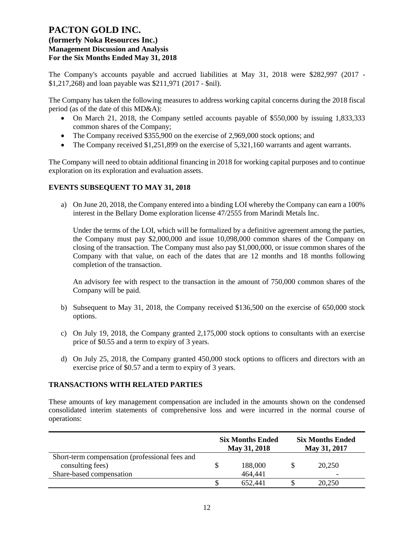# **(formerly Noka Resources Inc.) Management Discussion and Analysis For the Six Months Ended May 31, 2018**

The Company's accounts payable and accrued liabilities at May 31, 2018 were \$282,997 (2017 - \$1,217,268) and loan payable was \$211,971 (2017 - \$nil).

The Company has taken the following measures to address working capital concerns during the 2018 fiscal period (as of the date of this MD&A):

- On March 21, 2018, the Company settled accounts payable of \$550,000 by issuing 1,833,333 common shares of the Company;
- The Company received \$355,900 on the exercise of 2,969,000 stock options; and
- The Company received \$1,251,899 on the exercise of 5,321,160 warrants and agent warrants.

The Company will need to obtain additional financing in 2018 for working capital purposes and to continue exploration on its exploration and evaluation assets.

### **EVENTS SUBSEQUENT TO MAY 31, 2018**

a) On June 20, 2018, the Company entered into a binding LOI whereby the Company can earn a 100% interest in the Bellary Dome exploration license 47/2555 from Marindi Metals Inc.

Under the terms of the LOI, which will be formalized by a definitive agreement among the parties, the Company must pay \$2,000,000 and issue 10,098,000 common shares of the Company on closing of the transaction. The Company must also pay \$1,000,000, or issue common shares of the Company with that value, on each of the dates that are 12 months and 18 months following completion of the transaction.

An advisory fee with respect to the transaction in the amount of 750,000 common shares of the Company will be paid.

- b) Subsequent to May 31, 2018, the Company received \$136,500 on the exercise of 650,000 stock options.
- c) On July 19, 2018, the Company granted 2,175,000 stock options to consultants with an exercise price of \$0.55 and a term to expiry of 3 years.
- d) On July 25, 2018, the Company granted 450,000 stock options to officers and directors with an exercise price of \$0.57 and a term to expiry of 3 years.

### **TRANSACTIONS WITH RELATED PARTIES**

These amounts of key management compensation are included in the amounts shown on the condensed consolidated interim statements of comprehensive loss and were incurred in the normal course of operations:

|                                                                    | <b>Six Months Ended</b><br>May 31, 2018 |         | <b>Six Months Ended</b><br>May 31, 2017 |        |
|--------------------------------------------------------------------|-----------------------------------------|---------|-----------------------------------------|--------|
| Short-term compensation (professional fees and<br>consulting fees) |                                         | 188,000 |                                         | 20,250 |
| Share-based compensation                                           |                                         | 464,441 |                                         |        |
|                                                                    |                                         | 652.441 |                                         | 20,250 |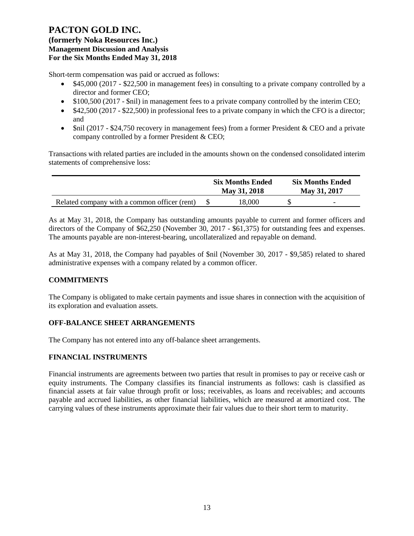Short-term compensation was paid or accrued as follows:

- \$45,000 (2017 \$22,500 in management fees) in consulting to a private company controlled by a director and former CEO;
- \$100,500 (2017 \$nil) in management fees to a private company controlled by the interim CEO;
- \$42,500 (2017 \$22,500) in professional fees to a private company in which the CFO is a director; and
- \$nil (2017 \$24,750 recovery in management fees) from a former President & CEO and a private company controlled by a former President & CEO;

Transactions with related parties are included in the amounts shown on the condensed consolidated interim statements of comprehensive loss:

|                                              | <b>Six Months Ended</b><br>May 31, 2018 | <b>Six Months Ended</b><br>May 31, 2017 |
|----------------------------------------------|-----------------------------------------|-----------------------------------------|
| Related company with a common officer (rent) | 18.000                                  | $\overline{\phantom{0}}$                |

As at May 31, 2018, the Company has outstanding amounts payable to current and former officers and directors of the Company of \$62,250 (November 30, 2017 - \$61,375) for outstanding fees and expenses. The amounts payable are non-interest-bearing, uncollateralized and repayable on demand.

As at May 31, 2018, the Company had payables of \$nil (November 30, 2017 - \$9,585) related to shared administrative expenses with a company related by a common officer.

# **COMMITMENTS**

The Company is obligated to make certain payments and issue shares in connection with the acquisition of its exploration and evaluation assets.

### **OFF-BALANCE SHEET ARRANGEMENTS**

The Company has not entered into any off-balance sheet arrangements.

### **FINANCIAL INSTRUMENTS**

Financial instruments are agreements between two parties that result in promises to pay or receive cash or equity instruments. The Company classifies its financial instruments as follows: cash is classified as financial assets at fair value through profit or loss; receivables, as loans and receivables; and accounts payable and accrued liabilities, as other financial liabilities, which are measured at amortized cost. The carrying values of these instruments approximate their fair values due to their short term to maturity.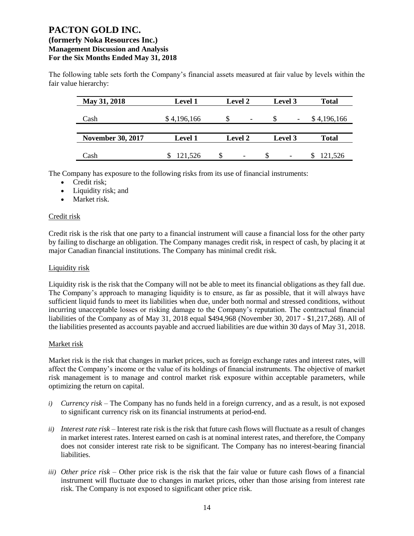The following table sets forth the Company's financial assets measured at fair value by levels within the fair value hierarchy:

| May 31, 2018             | <b>Level 1</b> | <b>Level 2</b>           | Level 3 | <b>Total</b> |
|--------------------------|----------------|--------------------------|---------|--------------|
| Cash                     | \$4,196,166    | $\overline{\phantom{a}}$ |         | \$4,196,166  |
| <b>November 30, 2017</b> | <b>Level 1</b> | <b>Level 2</b>           | Level 3 | <b>Total</b> |
|                          |                |                          |         |              |
| Cash                     | 121,526        | $\overline{\phantom{a}}$ |         | 121,526      |

The Company has exposure to the following risks from its use of financial instruments:

- Credit risk;
- Liquidity risk; and
- Market risk.

### Credit risk

Credit risk is the risk that one party to a financial instrument will cause a financial loss for the other party by failing to discharge an obligation. The Company manages credit risk, in respect of cash, by placing it at major Canadian financial institutions. The Company has minimal credit risk.

### Liquidity risk

Liquidity risk is the risk that the Company will not be able to meet its financial obligations as they fall due. The Company's approach to managing liquidity is to ensure, as far as possible, that it will always have sufficient liquid funds to meet its liabilities when due, under both normal and stressed conditions, without incurring unacceptable losses or risking damage to the Company's reputation. The contractual financial liabilities of the Company as of May 31, 2018 equal \$494,968 (November 30, 2017 - \$1,217,268). All of the liabilities presented as accounts payable and accrued liabilities are due within 30 days of May 31, 2018.

### Market risk

Market risk is the risk that changes in market prices, such as foreign exchange rates and interest rates, will affect the Company's income or the value of its holdings of financial instruments. The objective of market risk management is to manage and control market risk exposure within acceptable parameters, while optimizing the return on capital.

- *i) Currency risk* The Company has no funds held in a foreign currency, and as a result, is not exposed to significant currency risk on its financial instruments at period-end.
- *ii) Interest rate risk –* Interest rate risk is the risk that future cash flows will fluctuate as a result of changes in market interest rates. Interest earned on cash is at nominal interest rates, and therefore, the Company does not consider interest rate risk to be significant. The Company has no interest-bearing financial liabilities.
- *iii) Other price risk –* Other price risk is the risk that the fair value or future cash flows of a financial instrument will fluctuate due to changes in market prices, other than those arising from interest rate risk. The Company is not exposed to significant other price risk.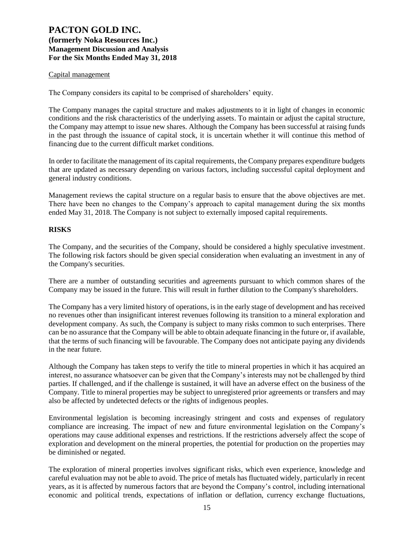### Capital management

The Company considers its capital to be comprised of shareholders' equity.

The Company manages the capital structure and makes adjustments to it in light of changes in economic conditions and the risk characteristics of the underlying assets. To maintain or adjust the capital structure, the Company may attempt to issue new shares. Although the Company has been successful at raising funds in the past through the issuance of capital stock, it is uncertain whether it will continue this method of financing due to the current difficult market conditions.

In order to facilitate the management of its capital requirements, the Company prepares expenditure budgets that are updated as necessary depending on various factors, including successful capital deployment and general industry conditions.

Management reviews the capital structure on a regular basis to ensure that the above objectives are met. There have been no changes to the Company's approach to capital management during the six months ended May 31, 2018. The Company is not subject to externally imposed capital requirements.

### **RISKS**

The Company, and the securities of the Company, should be considered a highly speculative investment. The following risk factors should be given special consideration when evaluating an investment in any of the Company's securities.

There are a number of outstanding securities and agreements pursuant to which common shares of the Company may be issued in the future. This will result in further dilution to the Company's shareholders.

The Company has a very limited history of operations, is in the early stage of development and has received no revenues other than insignificant interest revenues following its transition to a mineral exploration and development company. As such, the Company is subject to many risks common to such enterprises. There can be no assurance that the Company will be able to obtain adequate financing in the future or, if available, that the terms of such financing will be favourable. The Company does not anticipate paying any dividends in the near future.

Although the Company has taken steps to verify the title to mineral properties in which it has acquired an interest, no assurance whatsoever can be given that the Company's interests may not be challenged by third parties. If challenged, and if the challenge is sustained, it will have an adverse effect on the business of the Company. Title to mineral properties may be subject to unregistered prior agreements or transfers and may also be affected by undetected defects or the rights of indigenous peoples.

Environmental legislation is becoming increasingly stringent and costs and expenses of regulatory compliance are increasing. The impact of new and future environmental legislation on the Company's operations may cause additional expenses and restrictions. If the restrictions adversely affect the scope of exploration and development on the mineral properties, the potential for production on the properties may be diminished or negated.

The exploration of mineral properties involves significant risks, which even experience, knowledge and careful evaluation may not be able to avoid. The price of metals has fluctuated widely, particularly in recent years, as it is affected by numerous factors that are beyond the Company's control, including international economic and political trends, expectations of inflation or deflation, currency exchange fluctuations,